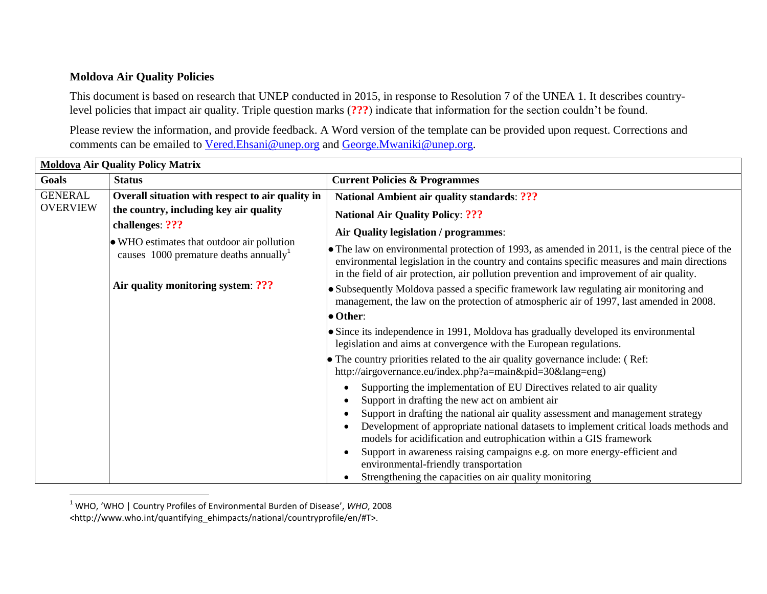## **Moldova Air Quality Policies**

l

This document is based on research that UNEP conducted in 2015, in response to Resolution 7 of the UNEA 1. It describes countrylevel policies that impact air quality. Triple question marks (**???**) indicate that information for the section couldn't be found.

Please review the information, and provide feedback. A Word version of the template can be provided upon request. Corrections and comments can be emailed to [Vered.Ehsani@unep.org](mailto:Vered.Ehsani@unep.org) and [George.Mwaniki@unep.org.](mailto:George.Mwaniki@unep.org)

| <b>Moldova Air Quality Policy Matrix</b>                                                                                                 |                                                                                                                                                                                 |                                                                                                                                                                                                                                                                                                                                                                                                                                                                                                                                                         |  |  |
|------------------------------------------------------------------------------------------------------------------------------------------|---------------------------------------------------------------------------------------------------------------------------------------------------------------------------------|---------------------------------------------------------------------------------------------------------------------------------------------------------------------------------------------------------------------------------------------------------------------------------------------------------------------------------------------------------------------------------------------------------------------------------------------------------------------------------------------------------------------------------------------------------|--|--|
| Goals                                                                                                                                    | <b>Status</b>                                                                                                                                                                   | <b>Current Policies &amp; Programmes</b>                                                                                                                                                                                                                                                                                                                                                                                                                                                                                                                |  |  |
| <b>GENERAL</b>                                                                                                                           | Overall situation with respect to air quality in                                                                                                                                | <b>National Ambient air quality standards: ???</b>                                                                                                                                                                                                                                                                                                                                                                                                                                                                                                      |  |  |
| <b>OVERVIEW</b>                                                                                                                          | the country, including key air quality                                                                                                                                          | <b>National Air Quality Policy: ???</b>                                                                                                                                                                                                                                                                                                                                                                                                                                                                                                                 |  |  |
|                                                                                                                                          | challenges: ???                                                                                                                                                                 | Air Quality legislation / programmes:                                                                                                                                                                                                                                                                                                                                                                                                                                                                                                                   |  |  |
| • WHO estimates that outdoor air pollution<br>causes $1000$ premature deaths annually <sup>1</sup><br>Air quality monitoring system: ??? |                                                                                                                                                                                 | • The law on environmental protection of 1993, as amended in 2011, is the central piece of the<br>environmental legislation in the country and contains specific measures and main directions<br>in the field of air protection, air pollution prevention and improvement of air quality.                                                                                                                                                                                                                                                               |  |  |
|                                                                                                                                          | • Subsequently Moldova passed a specific framework law regulating air monitoring and<br>management, the law on the protection of atmospheric air of 1997, last amended in 2008. |                                                                                                                                                                                                                                                                                                                                                                                                                                                                                                                                                         |  |  |
|                                                                                                                                          |                                                                                                                                                                                 | $\bullet$ Other:                                                                                                                                                                                                                                                                                                                                                                                                                                                                                                                                        |  |  |
|                                                                                                                                          |                                                                                                                                                                                 | • Since its independence in 1991, Moldova has gradually developed its environmental<br>legislation and aims at convergence with the European regulations.                                                                                                                                                                                                                                                                                                                                                                                               |  |  |
|                                                                                                                                          |                                                                                                                                                                                 | • The country priorities related to the air quality governance include: (Ref:<br>http://airgovernance.eu/index.php?a=main&pid=30⟨=eng)                                                                                                                                                                                                                                                                                                                                                                                                                  |  |  |
|                                                                                                                                          |                                                                                                                                                                                 | Supporting the implementation of EU Directives related to air quality<br>Support in drafting the new act on ambient air<br>Support in drafting the national air quality assessment and management strategy<br>Development of appropriate national datasets to implement critical loads methods and<br>models for acidification and eutrophication within a GIS framework<br>Support in awareness raising campaigns e.g. on more energy-efficient and<br>environmental-friendly transportation<br>Strengthening the capacities on air quality monitoring |  |  |

<sup>1</sup> WHO, 'WHO | Country Profiles of Environmental Burden of Disease', *WHO*, 2008 <http://www.who.int/quantifying\_ehimpacts/national/countryprofile/en/#T>.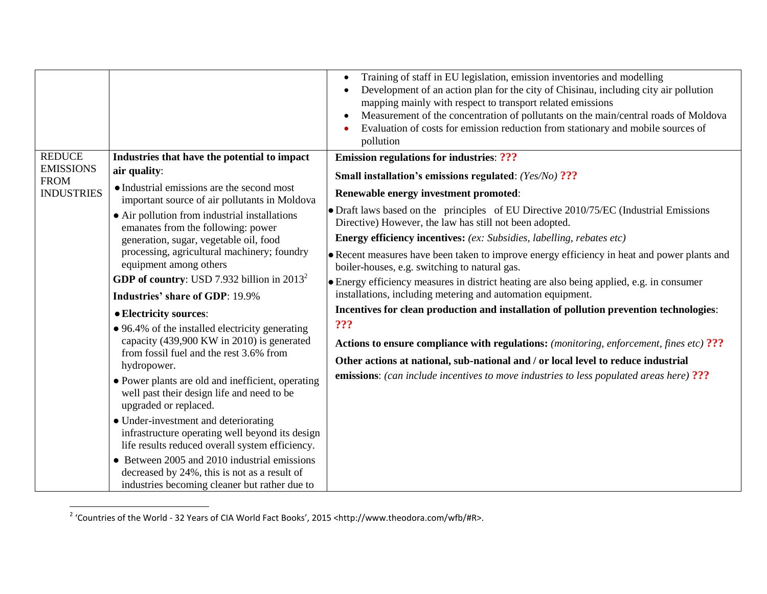|                                                                       |                                                                                                                                               | Training of staff in EU legislation, emission inventories and modelling<br>Development of an action plan for the city of Chisinau, including city air pollution<br>mapping mainly with respect to transport related emissions<br>Measurement of the concentration of pollutants on the main/central roads of Moldova<br>Evaluation of costs for emission reduction from stationary and mobile sources of<br>pollution |
|-----------------------------------------------------------------------|-----------------------------------------------------------------------------------------------------------------------------------------------|-----------------------------------------------------------------------------------------------------------------------------------------------------------------------------------------------------------------------------------------------------------------------------------------------------------------------------------------------------------------------------------------------------------------------|
| <b>REDUCE</b><br><b>EMISSIONS</b><br><b>FROM</b><br><b>INDUSTRIES</b> | Industries that have the potential to impact                                                                                                  | <b>Emission regulations for industries: ???</b>                                                                                                                                                                                                                                                                                                                                                                       |
|                                                                       | air quality:                                                                                                                                  | <b>Small installation's emissions regulated:</b> (Yes/No) ???                                                                                                                                                                                                                                                                                                                                                         |
|                                                                       | • Industrial emissions are the second most<br>important source of air pollutants in Moldova                                                   | Renewable energy investment promoted:                                                                                                                                                                                                                                                                                                                                                                                 |
|                                                                       | • Air pollution from industrial installations<br>emanates from the following: power                                                           | • Draft laws based on the principles of EU Directive 2010/75/EC (Industrial Emissions<br>Directive) However, the law has still not been adopted.                                                                                                                                                                                                                                                                      |
|                                                                       | generation, sugar, vegetable oil, food<br>processing, agricultural machinery; foundry<br>equipment among others                               | <b>Energy efficiency incentives:</b> (ex: Subsidies, labelling, rebates etc)                                                                                                                                                                                                                                                                                                                                          |
|                                                                       |                                                                                                                                               | • Recent measures have been taken to improve energy efficiency in heat and power plants and<br>boiler-houses, e.g. switching to natural gas.                                                                                                                                                                                                                                                                          |
|                                                                       | <b>GDP of country:</b> USD 7.932 billion in $2013^2$                                                                                          | • Energy efficiency measures in district heating are also being applied, e.g. in consumer                                                                                                                                                                                                                                                                                                                             |
|                                                                       | <b>Industries' share of GDP: 19.9%</b>                                                                                                        | installations, including metering and automation equipment.                                                                                                                                                                                                                                                                                                                                                           |
|                                                                       | • Electricity sources:<br>• 96.4% of the installed electricity generating                                                                     | Incentives for clean production and installation of pollution prevention technologies:<br>???                                                                                                                                                                                                                                                                                                                         |
|                                                                       | capacity (439,900 KW in 2010) is generated                                                                                                    | <b>Actions to ensure compliance with regulations:</b> (monitoring, enforcement, fines etc) ???                                                                                                                                                                                                                                                                                                                        |
|                                                                       | from fossil fuel and the rest 3.6% from<br>hydropower.                                                                                        | Other actions at national, sub-national and / or local level to reduce industrial<br><b>emissions:</b> (can include incentives to move industries to less populated areas here) ???                                                                                                                                                                                                                                   |
|                                                                       | • Power plants are old and inefficient, operating<br>well past their design life and need to be<br>upgraded or replaced.                      |                                                                                                                                                                                                                                                                                                                                                                                                                       |
|                                                                       | • Under-investment and deteriorating<br>infrastructure operating well beyond its design<br>life results reduced overall system efficiency.    |                                                                                                                                                                                                                                                                                                                                                                                                                       |
|                                                                       | • Between 2005 and 2010 industrial emissions<br>decreased by 24%, this is not as a result of<br>industries becoming cleaner but rather due to |                                                                                                                                                                                                                                                                                                                                                                                                                       |

 2 'Countries of the World - 32 Years of CIA World Fact Books', 2015 <http://www.theodora.com/wfb/#R>.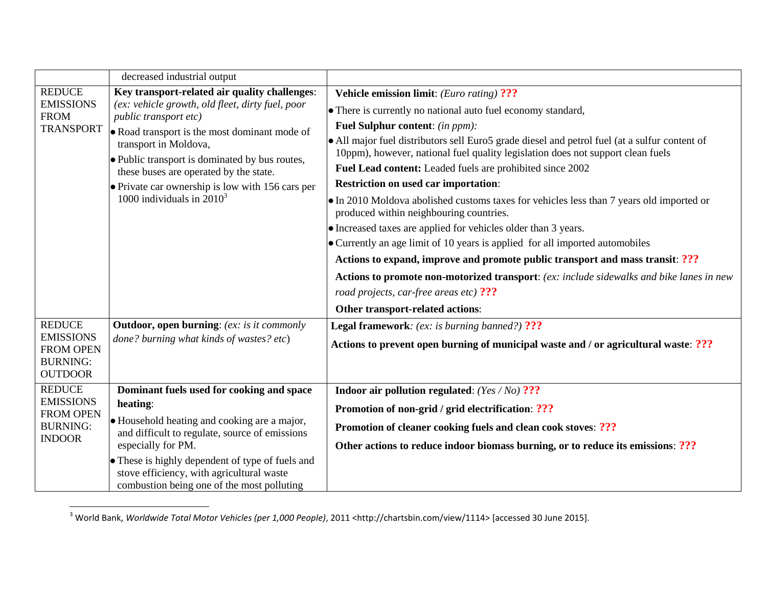|                                                                                            | decreased industrial output                                                                                                                                                                                                                                                                                                                                                          |                                                                                                                                                                                                                                                                                                                                                                                                                                                                                                                                                                                                                                                                                                                                                                                                                                                                                                                                                                                                                          |
|--------------------------------------------------------------------------------------------|--------------------------------------------------------------------------------------------------------------------------------------------------------------------------------------------------------------------------------------------------------------------------------------------------------------------------------------------------------------------------------------|--------------------------------------------------------------------------------------------------------------------------------------------------------------------------------------------------------------------------------------------------------------------------------------------------------------------------------------------------------------------------------------------------------------------------------------------------------------------------------------------------------------------------------------------------------------------------------------------------------------------------------------------------------------------------------------------------------------------------------------------------------------------------------------------------------------------------------------------------------------------------------------------------------------------------------------------------------------------------------------------------------------------------|
| <b>REDUCE</b><br><b>EMISSIONS</b><br><b>FROM</b><br><b>TRANSPORT</b>                       | Key transport-related air quality challenges:<br>(ex: vehicle growth, old fleet, dirty fuel, poor<br>public transport etc)<br>• Road transport is the most dominant mode of<br>transport in Moldova,<br>• Public transport is dominated by bus routes,<br>these buses are operated by the state.<br>• Private car ownership is low with 156 cars per<br>1000 individuals in $2010^3$ | <b>Vehicle emission limit:</b> ( <i>Euro rating</i> ) ???<br>• There is currently no national auto fuel economy standard,<br>Fuel Sulphur content: (in ppm):<br>• All major fuel distributors sell Euro5 grade diesel and petrol fuel (at a sulfur content of<br>10ppm), however, national fuel quality legislation does not support clean fuels<br>Fuel Lead content: Leaded fuels are prohibited since 2002<br><b>Restriction on used car importation:</b><br>• In 2010 Moldova abolished customs taxes for vehicles less than 7 years old imported or<br>produced within neighbouring countries.<br>• Increased taxes are applied for vehicles older than 3 years.<br>$\bullet$ Currently an age limit of 10 years is applied for all imported automobiles<br>Actions to expand, improve and promote public transport and mass transit: ???<br>Actions to promote non-motorized transport: (ex: include sidewalks and bike lanes in new<br>road projects, car-free areas etc) ???<br>Other transport-related actions: |
| <b>REDUCE</b><br><b>EMISSIONS</b><br><b>FROM OPEN</b><br><b>BURNING:</b><br><b>OUTDOOR</b> | <b>Outdoor, open burning:</b> (ex: is it commonly<br>done? burning what kinds of wastes? etc)                                                                                                                                                                                                                                                                                        | <b>Legal framework:</b> (ex: is burning banned?) ???<br>Actions to prevent open burning of municipal waste and / or agricultural waste: ???                                                                                                                                                                                                                                                                                                                                                                                                                                                                                                                                                                                                                                                                                                                                                                                                                                                                              |
| <b>REDUCE</b><br><b>EMISSIONS</b><br><b>FROM OPEN</b><br><b>BURNING:</b><br><b>INDOOR</b>  | Dominant fuels used for cooking and space<br>heating:<br>• Household heating and cooking are a major,<br>and difficult to regulate, source of emissions<br>especially for PM.<br>• These is highly dependent of type of fuels and<br>stove efficiency, with agricultural waste<br>combustion being one of the most polluting                                                         | Indoor air pollution regulated: $(Yes/No)$ ???<br>Promotion of non-grid / grid electrification: ???<br>Promotion of cleaner cooking fuels and clean cook stoves: ???<br>Other actions to reduce indoor biomass burning, or to reduce its emissions: ???                                                                                                                                                                                                                                                                                                                                                                                                                                                                                                                                                                                                                                                                                                                                                                  |

<sup>3</sup> World Bank, *Worldwide Total Motor Vehicles (per 1,000 People)*, 2011 <http://chartsbin.com/view/1114> [accessed 30 June 2015].

 $\overline{a}$